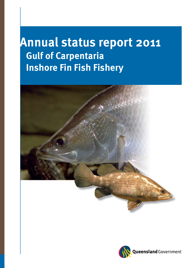# **Annual status report 2011 Gulf of Carpentaria Inshore Fin Fish Fishery**



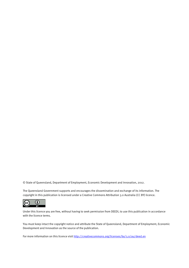© State of Queensland, Department of Employment, Economic Development and Innovation, 2012.

The Queensland Government supports and encourages the dissemination and exchange of its information. The copyright in this publication is licensed under a Creative Commons Attribution 3.0 Australia (CC BY) licence.



Under this licence you are free, without having to seek permission from DEEDI, to use this publication in accordance with the licence terms.

You must keep intact the copyright notice and attribute the State of Queensland, Department of Employment, Economic Development and Innovation as the source of the publication.

For more information on this licence visit http://creativecommons.org/licenses/by/3.o/au/deed.en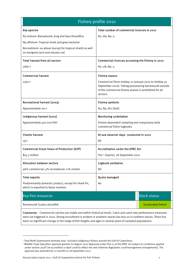| Fishery profile 2010                                                                          |                                                                                                                                                                                     |                           |  |  |
|-----------------------------------------------------------------------------------------------|-------------------------------------------------------------------------------------------------------------------------------------------------------------------------------------|---------------------------|--|--|
| <b>Key species</b>                                                                            | Total number of commercial licences in 2010                                                                                                                                         |                           |  |  |
| N3 inshore-Barramundi, king and blue threadfins                                               | N <sub>3</sub> -86; N <sub>9</sub> -5                                                                                                                                               |                           |  |  |
| N9 offshore-Tropical shark and grey mackerel                                                  |                                                                                                                                                                                     |                           |  |  |
| Recreational-as above (except for tropical shark) as well<br>as mangrove jack and estuary cod |                                                                                                                                                                                     |                           |  |  |
| <b>Total harvest from all sectors</b>                                                         | Commercial licences accessing the fishery in 2010                                                                                                                                   |                           |  |  |
| 2687t                                                                                         | N <sub>3</sub> -78; N <sub>9</sub> -3                                                                                                                                               |                           |  |  |
| <b>Commercial harvest</b>                                                                     | <b>Fishery season</b>                                                                                                                                                               |                           |  |  |
| 2567t                                                                                         | Commercial (from midday 22 January 2010 to midday 30<br>September 2010). Taking/possessing barramundi outside<br>of the commercial fishery season is prohibited for all<br>sectors. |                           |  |  |
| Recreational harvest (2005)                                                                   | <b>Fishery symbols</b>                                                                                                                                                              |                           |  |  |
| Approximately 101 t                                                                           | N <sub>3</sub> , N <sub>9</sub> , N <sub>11</sub> (bait)                                                                                                                            |                           |  |  |
| Indigenous harvest (2001)                                                                     | Monitoring undertaken                                                                                                                                                               |                           |  |  |
| Approximately 420 000 fish <sup>1</sup>                                                       | Fishery dependent sampling and compulsory daily<br>commercial fisher logbooks                                                                                                       |                           |  |  |
| <b>Charter harvest</b>                                                                        | At-sea observer days conducted in 2010                                                                                                                                              |                           |  |  |
| 19 t                                                                                          | Nil                                                                                                                                                                                 |                           |  |  |
| <b>Commercial Gross Value of Production (GVP)</b>                                             | <b>Accreditation under the EPBC Act</b>                                                                                                                                             |                           |  |  |
| $$15.3$ million                                                                               | Yes <sup>2</sup> -Expires: 28 September 2012                                                                                                                                        |                           |  |  |
| <b>Allocation between sectors</b>                                                             | Logbook validation                                                                                                                                                                  |                           |  |  |
| 96% commercial; 4% recreational; <1% charter                                                  | Nil                                                                                                                                                                                 |                           |  |  |
| <b>Total exports</b><br>Quota managed                                                         |                                                                                                                                                                                     |                           |  |  |
| Predominantly domestic product, except for shark fin,<br>which is exported to Asian markets.  | No                                                                                                                                                                                  |                           |  |  |
| Key fish resources                                                                            |                                                                                                                                                                                     | <b>Stock status</b>       |  |  |
| Barramundi (Lates calcarifer)                                                                 |                                                                                                                                                                                     | <b>Sustainably fished</b> |  |  |

Comments: Commercial catches are stable and within historical levels. Catch and catch rate performance measures were not triggered in 2010. Strong recruitment is evident in southern stocks but less so in northern stocks. There has been no significant change in the range of fish lengths and ages in several years of sampled populations.

1

<span id="page-2-0"></span><sup>1</sup> Total North Queensland estimate only—includes Indigenous fishers outside the Gulf of Carpentaria.

<span id="page-2-1"></span><sup>&</sup>lt;sup>2</sup> Wildlife Trade Operation approval granted 20 August 2007 Approved under Part 13 of the EPBC Act subject to conditions applied under section 303FT (re-accredited 10 April 2008 to reflect the new Fisheries Regulation 2008 management arrangements). The approval was extended for 12 months to 28 September 2012.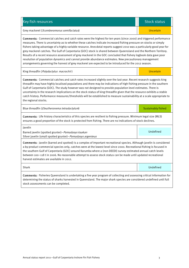| <b>Key fish resources</b>                                                                                                                                                                                                                                                                                                                                                                                                                                                                                                                                                                                                                                                                                                                                                                                                                   | <b>Stock status</b>       |  |  |  |  |
|---------------------------------------------------------------------------------------------------------------------------------------------------------------------------------------------------------------------------------------------------------------------------------------------------------------------------------------------------------------------------------------------------------------------------------------------------------------------------------------------------------------------------------------------------------------------------------------------------------------------------------------------------------------------------------------------------------------------------------------------------------------------------------------------------------------------------------------------|---------------------------|--|--|--|--|
| Grey mackerel (Scomberomorus semifaciatus)                                                                                                                                                                                                                                                                                                                                                                                                                                                                                                                                                                                                                                                                                                                                                                                                  | Uncertain                 |  |  |  |  |
| <b>Comments</b> : Commercial catches and catch rates were the highest for ten years (since 2000) and triggered performance<br>measures. There is uncertainty as to whether these catches indicate increased fishing pressure on stocks or simply<br>fishers taking advantage of a highly variable resource. Anecdotal reports suggest 2010 was a particularly good year for<br>grey mackerel catches. The Gulf of Carpentaria (GOC) stock is shared between Queensland and the Northern Territory.<br>Results of a recent resource assessment of grey mackerel in the GOC concluded that fishery logbook data gave poor<br>resolution of population dynamics and cannot provide abundance estimates. New precautionary management<br>arrangements governing the harvest of grey mackerel are expected to be introduced for the 2012 season. |                           |  |  |  |  |
| King threadfin (Polydactylus macrochir)                                                                                                                                                                                                                                                                                                                                                                                                                                                                                                                                                                                                                                                                                                                                                                                                     | Uncertain                 |  |  |  |  |
| Comments: Commercial catches and catch rates increased slightly over the last year. Recent research suggests king<br>threadfin may have highly localised populations and there may be indications of high fishing pressure in the southern<br>Gulf of Carpentaria (GOC). The study however was not designed to provide population level estimates. There is<br>uncertainty in the research implications on the stock status of king threadfin given that the resource exhibits a stable<br>catch history. Performance measures/thresholds will be established to measure sustainability at a scale appropriate to<br>the regional stocks.                                                                                                                                                                                                   |                           |  |  |  |  |
| Blue threadfin (Eleutheronema tetradactylum)                                                                                                                                                                                                                                                                                                                                                                                                                                                                                                                                                                                                                                                                                                                                                                                                | <b>Sustainably fished</b> |  |  |  |  |
| Comments: Life history characteristics of this species are resilient to fishing pressure. Minimum legal size (MLS)<br>ensures a good proportion of the stock is protected from fishing. There are no indications of stock declines.                                                                                                                                                                                                                                                                                                                                                                                                                                                                                                                                                                                                         |                           |  |  |  |  |
| Javelin<br>Barred javelin (spotted grunter)-Pomadasys kaakan<br>Silver javelin (small spotted grunter)-Pomadasys argenteus                                                                                                                                                                                                                                                                                                                                                                                                                                                                                                                                                                                                                                                                                                                  | Undefined                 |  |  |  |  |
| Comments: Javelin (barred and spotted) is a complex of important recreational species. Although javelin is considered<br>a by-product commercial species only, catches were at the lowest level since 2000. Recreational fishing is focused in<br>the southern Gulf of Carpentaria (GOC) around Karumba where a (non-DEEDI) survey estimated annual catch levels<br>between 100-118 t in 2006. No reasonable attempt to assess stock status can be made until updated recreational<br>harvest estimates are available in 2012.                                                                                                                                                                                                                                                                                                              |                           |  |  |  |  |
| Shark                                                                                                                                                                                                                                                                                                                                                                                                                                                                                                                                                                                                                                                                                                                                                                                                                                       | Undefined                 |  |  |  |  |
| Comments: Fisheries Queensland is undertaking a five year program of collecting and assessing critical information for<br>determining the status of sharks harvested in Queensland. The major shark species are considered undefined until full                                                                                                                                                                                                                                                                                                                                                                                                                                                                                                                                                                                             |                           |  |  |  |  |

stock assessments can be completed.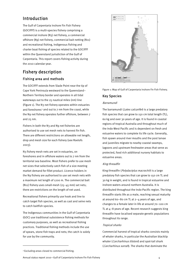### Introduction

The Gulf of Carpentaria Inshore Fin Fish Fishery (GOCIFFF) is a multi-species fishery comprising a commercial inshore (N3) net fishery, a commercial offshore (N9) net fishery, commercial bait netting (N11) and recreational fishing, Indigenous fishing and charter boat fishing of species related to the GOCIFFF within the Queensland jurisdiction of the Gulf of Carpentaria. This report covers fishing activity during the 2010 calendar year.

## Fishery description Fishing area and methods

The GOCIFFF extends from Slade Point near the tip of Cape York Peninsula westward to the Queensland– Northern Territory border and operates in all tidal waterways out to the 25 nautical miles (nm) line (Figure 1). The N3 net fishery operates within estuaries and foreshores<sup>[3](#page-4-0)</sup> and out to 7 nm from the coast, while the N9 net fishery operates further offshore, between 7 and 25 nm.

 There are different restrictions on allowable net length, Fishers in both the N3 and N9 net fisheries are authorised to use set mesh nets to harvest fin fish. drop and mesh size for each fishery (see Roelofs 2003).

 the N9 fishery are authorised to use set mesh nets with N3 fishery mesh nets are set in estuaries, on foreshores and in offshore waters out to 7 nm from the territorial sea baseline. Most fishers prefer to use mesh net sizes that selectively catch fish of a size meeting market demand for fillet product. Licence holders in a maximum net length of 1200 m. The commercial bait (N11) fishery uses small-mesh (25–45 mm) set nets; there are restrictions on the length of net used.

Recreational fishers primarily use hook and line to catch target fish species, as well as cast and seine nets to catch baitfish species.

The Indigenous communities in the Gulf of Carpentaria (GOC) use traditional subsistence fishing methods for customary purposes, as well as recreational fishing practices. Traditional fishing methods include the use of spears, stone fish traps and nets; the catch is solely for use by the community.



Figure 1: Map of Gulf of Carpentaria Inshore Fin Fish Fishery.

#### Key Species

#### Barramundi

The barramundi (Lates calcarifer) is a large predatory fish species that can grow to 150 cm total length (TL), 60 kg and over 30 years of age. It is found in coastal regions of tropical Australia and throughout much of the Indo-West Pacific and is dependent on fresh and estuarine waters to complete its life cycle. Generally, fish spawn around river mouths and the post larvae and juveniles migrate to nearby coastal swamps, lagoons and upstream freshwater areas that serve as protected, food rich additional nursery habitats to estuarine areas.

#### King threadfin

King threadfin (*Polydactylus macrochin*) is a large predatory fish species that can grow to 150 cm TL and 30 kg in weight, and is found in tropical estuarine and inshore waters around northern Australia. It is distributed throughout the Indo-Pacific region. The king threadfin starts life as a male, reaching sexual maturity at around 60–80 cm TL at 2–4 years of age, and changes to a female later in life at around 70–100 cm TL at 4–8 years of age. Recent research suggests king threadfin have localised separate genetic populations throughout its range.

#### Tropical sharks

Commercial harvest of tropical sharks consists mainly of whaler sharks, in particular the Australian blacktip whaler (*Carcharhinus tilstoni*) and spot-tail shark (Carcharhinus sorrah). The sharks that dominate the

1

Annual status report 2010—Gulf of Carpentaria Inshore Fin Fish Fishery 4 (4)

<span id="page-4-0"></span><sup>3</sup> Excluding areas closed to commercial fishing.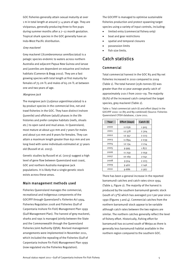GOC fisheries generally attain sexual maturity at over 1 m in total length at around 3–4 years of age. They are viviparous, generally producing three to five pups during summer months after a 7–12 month gestation. Tropical shark species in the GOC generally have an Indo-West Pacific distribution.

#### Grey mackerel

Grey mackerel (Scomberomorus semifasciatus) is a pelagic species endemic to waters across northern Australia and adjacent Papua New Guinea and larvae and juveniles are dependent on estuarine and inshore habitats (Cameron & Begg 2002). They are a fast growing species with total length at first maturity for females of 75 cm TL and males of 65 cm TL at between one and two years of age.

#### Mangrove jack

The mangrove jack (Lutjanus argentimaculatus) is a by-product species in the commercial line, net and trawl fisheries in the GOC. They have distinct inshore (juvenile) and offshore (adult) phases in the life histories and prefer complex habitats (reefs, shoals etc.) to open sand and mud areas. In Queensland, most mature at about 450 mm and 7 years for males and about 510 mm and 8 years for females. They can attain a maximum length greater than 650 mm and are long lived with some individuals estimated at 37 years old (Russell et al. 2003).

Genetic studies by Russell et al. (2003) suggest a high level of gene flow between Queensland east coast, GOC and northern Australia mangrove jack populations. It is likely that a single genetic stock exists across these areas.

#### Main management methods used

Fisheries Queensland manages the commercial, recreational and Indigenous components of the GOCIFFF through Queensland's Fisheries Act 1994, Fisheries Regulation 2008 and Fisheries (Gulf of Carpentaria Inshore Fin Fish) Management Plan 1999 (Gulf Management Plan). The harvest of grey mackerel, sharks and rays is managed jointly between the State and the Commonwealth through the Queensland Fisheries Joint Authority (QFJA). Revised management arrangements were implemented in November 2011, which included the repealing of the Fisheries (Gulf of Carpentaria Inshore Fin Fish) Management Plan 1999 (now regulated via the Fisheries Regulation).

The GOCIFFF is managed to optimise sustainable fisheries production and protect spawning target species using a variety of input controls, including:

- limited entry (commercial fishery only)
- boat and gear restrictions
- spatial and temporal closures
- possession limits
- fish size limits.

#### Catch statistics

#### Commercial

Total commercial harvest in the GOC N3 and N9 net fisheries increased in 2010 compared to 2009 (Table 1). The total harvest (2581 tonnes (t)) was greater than the 10 year average yearly catch of approximately 2101 t from 2000–09. The majority (83%) of the increased catch comprised the target species, grey mackerel (Table 2).

Table 1: Total commercial catch (t) and effort (days) in the GOCIFFF 2000–10 (N3 and N9 combined) (Source: Fisheries Queensland CFISH database, 1 June 2011.

| Year | Effort (days) | Catch (t) |
|------|---------------|-----------|
| 2000 | 11 6 3 6      | 1905      |
| 2001 | 12 578        | 2 3 0 4   |
| 2002 | 12 3 5 7      | 2 2 2 3   |
| 2003 | 11894         | 2039      |
| 2004 | 12 134        | 2 2 1 4   |
| 2005 | 9995          | 1877      |
| 2006 | 11 259        | 2059      |
| 2007 | 10 16 9       | 2041      |
| 2008 | 9 9 1 4       | 2 2 0 3   |
| 2009 | 9462          | 2 1 4 6   |
| 2010 | 9686          | 2567      |

There has been a general increase in the reported barramundi catches and catch rates since 1994 (Table 2, Figure 2). The majority of the harvest is produced by the southern barramundi genetic stock (south of 13°S) which has averaged 520 t per year since 1990 (Figures 3 and 4). Commercial catches from the northern barramundi stock appear to be variable although catch rates between the two regions are similar. The northern catches generally reflect the level of fishery effort. Historically, fishing effort for barramundi has occurred south of Weipa as there is generally less barramundi habitat available in the northern region compared to the southern GOC.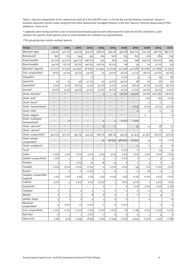Table 2: Species composition of the commercial catch (t) in the GOCIFFF 2000-10 for the N3 and N9 fisheries combined. Values in brackets represent catches made using line from other Queensland managed fisheries in the GOC (Source: Fisheries Queensland CFISH database, 1 June 2011).

\* Logbooks were introduced from 2007 to record more detailed species level information for shark for all GOC net fishers. Catch statistics for specific shark species prior to 2008 (shaded) are unlikely to be representative.

| <sup>§</sup> This grouping may contain multiple species |  |  |
|---------------------------------------------------------|--|--|
|---------------------------------------------------------|--|--|

| Group                                        | 2000                     | 2001                     | 2002                     | 2003                        | 2004                     | 2005                           | 2006                        | 2007                     | 2008                     | 2009                           | 2010                           |
|----------------------------------------------|--------------------------|--------------------------|--------------------------|-----------------------------|--------------------------|--------------------------------|-----------------------------|--------------------------|--------------------------|--------------------------------|--------------------------------|
| Mackerel-grey                                | 419 (2)                  | 471(1)                   | 345(3)                   | 379 (<1)                    | 468(2)                   | 394(2)                         | 490 (8)                     | 640(11)                  | 622(9)                   | 482(3)                         | 896(1)                         |
| Barramundi                                   | 607                      | 723                      | 744                      | 551                         | 615                      | 500                            | 735                         | 631                      | 726                      | 785                            | 719                            |
| King threadfin                               | 317(1)                   | 473(1)                   | 445(1)                   | 296 (<1)                    | 310                      | 283                            | 305                         | 248                      | 295 (1)                  | 309(1)                         | 365                            |
| <b>Blue threadfin</b>                        | 40(1)                    | 67(1)                    | 83(1)                    | 106(1)                      | 126(1)                   | 81(1)                          | 66                          | 59                       | 76                       | 71(1)                          | 61                             |
| Mackerel-Spanish                             | 25(121)                  | 21(137)                  | 24 (197)                 | 18 (167)                    | 29 (194)                 | 33 (229)                       | 33 (218)                    | 54 (228)                 | 36 (285)                 | 32 (189)                       | 51 (191)                       |
| Fish-unspecified <sup>§</sup>                | 28(1)                    | 52(1)                    | 33(1)                    | 53(1)                       | 30                       | 33(1)                          | 35(1)                       | 41(1)                    | 38(1)                    | 42(1)                          | 39(1)                          |
| Threadfin <sup>§</sup>                       | $\overline{\phantom{0}}$ |                          | $\overline{\phantom{0}}$ | $\langle 1$                 | $\qquad \qquad -$        | $\overline{\phantom{0}}$       | $\langle 1 (\cdot) \rangle$ | 4                        | 9                        | 19                             | 36                             |
| Jewel fish                                   | 22                       | 33                       | 48                       | 51(1)                       | 52                       | 33(1)                          | 39 (1)                      | 38                       | 26                       | 26                             | 30                             |
| Queenfish§                                   | 9(1)                     | 15(1)                    | 26(1)                    | 23(7)                       | 35(1)                    | 17(1)                          | 14(2)                       | 18(1)                    | 31(1)                    | 21(1)                          | 26(1)                          |
| Grunter <sup>§</sup>                         | 16(1)                    | 25(5)                    | 34(1)                    | 31(1)                       | 51(1)                    | 26(1)                          | 19(1)                       | 21(1)                    | 29 (1)                   | 19(1)                          | 11(1)                          |
| Shark-blacktip*                              | -                        | $\overline{\phantom{0}}$ | $\overline{\phantom{0}}$ | $\qquad \qquad -$           | 3                        | $\langle 1$                    | 76(1)                       | 114(1)                   | 176 (8)                  | 206 (38)                       | 218(1)                         |
| Shark-bull*                                  | $\qquad \qquad -$        | $\qquad \qquad -$        | $\overline{\phantom{m}}$ | $\qquad \qquad -$           | $\overline{\phantom{a}}$ | $\overline{\phantom{a}}$       |                             | $\qquad \qquad -$        | $-$ ( $\epsilon$ 1)      | $-$ (5)                        | 1(1)                           |
| Shark-fossil*                                | $\overline{\phantom{0}}$ | $\overline{\phantom{0}}$ | $\overline{\phantom{a}}$ | $\overline{\phantom{m}}$    | $\overline{\phantom{0}}$ | $\overline{\phantom{a}}$       | $\overline{\phantom{a}}$    | $\overline{\phantom{a}}$ | $\langle 1$              | $\langle 1$                    | $\langle 1$                    |
| Shark-hammerhead*                            | $\qquad \qquad -$        | $\overline{\phantom{0}}$ | $\overline{\phantom{m}}$ | $\qquad \qquad -$           | $\overline{\phantom{0}}$ | $\overline{\phantom{m}}$       | $\qquad \qquad -$           | 6(1)                     | 10(2)                    | 20(1)                          | 19(1)                          |
| Shark-milk*                                  | $\overline{\phantom{0}}$ | $\overline{\phantom{0}}$ | $-$                      | $\overline{\phantom{0}}$    | $\overline{\phantom{0}}$ | $\qquad \qquad -$              | $\overline{\phantom{0}}$    | $\langle 1$              | $\langle 1$              | $\langle 1$                    | $\langle 1$                    |
| Shark-pigeye*                                | $\qquad \qquad -$        | $\overline{\phantom{0}}$ | $\overline{\phantom{0}}$ | $\qquad \qquad -$           | $\overline{\phantom{0}}$ | $\qquad \qquad -$              | $\overline{\phantom{0}}$    | $\qquad \qquad -$        | $\langle 1$              | $\overline{\phantom{0}}$       | $\langle 1$                    |
| Shark-scalloped                              | $\qquad \qquad -$        | $\langle 1$              | $\qquad \qquad -$        | $\qquad \qquad -$           | 9                        | $\overline{2}$                 | 6(71)                       | 1(32)                    | $\overline{\phantom{0}}$ | $\overline{\phantom{0}}$       |                                |
| hammerhead*                                  |                          |                          |                          |                             |                          |                                |                             |                          |                          |                                |                                |
| Shark-spot tail*                             | $\qquad \qquad -$        |                          | $\overline{\phantom{0}}$ | $\overline{\phantom{m}}$    | $\langle 1$              | $\langle 1$                    |                             | 35                       | 21                       | 18                             | 21                             |
| Shark-spinner*                               | $\qquad \qquad -$        | $\overline{\phantom{0}}$ | $\overline{\phantom{a}}$ | $\qquad \qquad -$           | $\qquad \qquad -$        | $\qquad \qquad -$              | $\overline{\phantom{0}}$    | $\overline{\phantom{a}}$ | $\overline{\phantom{0}}$ | $\langle 1$                    | $\langle 1$                    |
| Shark-unspecified*                           | 390(1)                   | 373 (1)                  | 391(3)                   | 474(3)                      | 366(2)                   | 396(2)                         | 159 (4)                     | 91(42)                   | 47(41)                   | 29(1)                          | 29 (1)                         |
| Shark-whaler<br>unspecified*                 | $\overline{\phantom{a}}$ | $\overline{\phantom{a}}$ | $\overline{\phantom{a}}$ | $\overline{\phantom{a}}$    | 55                       | 36 (34)                        | 48 (274)                    | 8(142)                   | 14                       | 10                             | 1(1)                           |
| Shark-winghead*                              | $\qquad \qquad -$        | $\qquad \qquad -$        | $\qquad \qquad -$        | $\overline{\phantom{m}}$    | $\qquad \qquad -$        | $\overline{\phantom{a}}$       | $\qquad \qquad -$           | $\langle 1$              | $\langle 1$              | 3                              | 8                              |
| Tuna§                                        | $\overline{\phantom{0}}$ | $\overline{\phantom{0}}$ | $\overline{\phantom{0}}$ | $\qquad \qquad -$           | $\overline{\phantom{0}}$ | $\overline{\phantom{a}}$       | $\langle 1 (\cdot) \rangle$ | $\langle 1$              |                          | 14                             | 9                              |
| Cobia                                        | $\langle 1 (\times 1)$   | 3(1)                     | 3(1)                     | 2(1)                        | 2(1)                     | 3(1)                           | 2(1)                        | 3(1)                     | 2(1)                     | 2(1)                           | 7(1)                           |
| Jewfish-unspecified <sup>§</sup>             | 1(1)                     | $\mathbf{1}$             | $\overline{2}$           | 3                           | 4                        | $\overline{2}$                 | 2(1)                        | 7                        | 5                        | 9                              | 4                              |
| Pomfret                                      |                          | 3                        | 5(1)                     | 10                          | 16                       | 12                             | 6                           |                          | 4                        |                                |                                |
| Trevally§                                    | (1)(1)                   | 6(1)                     | $\langle 1 (\times 1)$   | $\langle 1 (\cdot) \rangle$ | $\langle 1$              | $\langle 1 (\langle 1 \rangle$ | 2(1)                        | $- (4)$                  | $-$ (<1)                 | $\langle 1 (\times 1) \rangle$ | 3(1)                           |
| <b>Bream</b> §                               | $\overline{\phantom{0}}$ | $\langle 1$              | $\langle 1$              | $\langle 1 (\times 1)$      | $\overline{2}$           | $\langle 1$                    | $\langle 1$                 | $\langle 1$              | 20                       | $\langle 1$                    | 3                              |
| Snapper-unspecified<br>tropical <sup>§</sup> | 3(2)                     | 7(1)                     | 5(5)                     | 2(3)                        | 3(2)                     | $\langle 1 (\cdot) \rangle$    | 3(4)                        | $\triangle(1(2)$         | $\langle 1 (\times 1)$   | 2(1)                           | 2(1)                           |
| Catfish§                                     | 4(1)                     | 4                        | 6(1)                     | 6(1)                        | 13(1)                    | $\overline{7}$                 | 8(1)                        | 4(1)                     | $\overline{2}$           | 4(1)                           | 1(1)                           |
| Guitarfish <sup>§</sup>                      |                          | $\overline{\phantom{0}}$ | $\equiv$                 | $\equiv$                    | $\langle 1$              | $\overline{\phantom{0}}$       | $\langle 1$                 | 2(1)                     | 5(1)                     | 2(1)                           | (1(2)                          |
| Tripletail                                   | $\mathbf 1$              | $\mathbf 1$              | $\mathbf 2$              | $\overline{\mathbf{c}}$     | $\mathbf 2$              | $\mathbf 1$                    | $\langle 1$                 | $\langle 1$              | $\langle 1$              | $\langle 1$                    | $\langle 1$                    |
| <b>Mullet</b> <sup>§</sup>                   | $\overline{\mathbf{c}}$  | 5                        | $\mathbf 1$              | 8                           | 6                        | $\mathbf 2$                    | $\overline{2}$              | $\langle 1$              | 3                        | 4                              | $\langle 1$                    |
| Jewfish-black                                | 5                        | $\mathbf{1}$             | $\mathbf 2$              | 3                           | 5                        | $\mathbf 2$                    | $\langle 1$                 | $\overline{\phantom{a}}$ | $\langle 1$              |                                | $\langle 1$                    |
| Mackerel-<br>unspecified <sup>§</sup>        | 9                        | 6(1)                     | 10                       | $\langle 1 (\cdot) \rangle$ | $\langle 1$              | $\langle 1$                    | $\langle 1 (\cdot) \rangle$ | -                        | $\qquad \qquad -$        | $\langle 1$                    | $\langle 1$                    |
| Cod-unspecified <sup>§</sup>                 | (1)(1)                   | (1)(1)                   | $\langle 1 (\times 1)$   | (1(2)                       | (1)(1)                   | $\langle 1 (\cdot) \rangle$    | $- (1)$                     | (1(6)                    | $\langle 1 (\times 1)$   | $\langle 1 (\cdot) \rangle$    | $\langle 1 (\times 1) \rangle$ |
| Bait fish <sup>§</sup>                       | $\langle 1$              | $\overline{c}$           | $\mathbf 1$              | 2(1)                        | $\overline{2}$           | $\langle 1$                    | $\langle 1$                 | $\langle 1$              | $\overline{2}$           | 4                              | $\langle 1$                    |
| Other fish <sup>§</sup>                      | 2(6)                     | 9(1)                     | 13(4)                    | 18(9)                       | 7(10)                    | 11 (19)                        | 5(70)                       | 5(41)                    | 2(27)                    | 4(7)                           | (1(8))                         |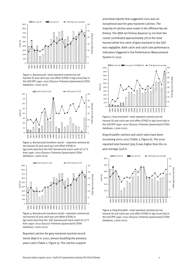

database, 1 June 2011). Figure 2: Barramundi—total reported commercial net<br>harvest (t) and catch per unit effort (CPUE) in kg/100m/day in  $700$ <br>the GOCIFFF 1990–2010 (Source: Fisheries Queensland CFISH



Figure 3: Barramundi (northern stock) —reported commercial reported total harvest (365 t) was higher than the 20 net harvest (t) and catch per unit effort (CPUE) in kg/100m/day from the GOC barramundi stock north of 13° S year average (318 t). from 1990–2010 (Source: Fisheries Queensland CFISH database, 1 June 2011).



Figure 4: Barramundi (southern stock)—reported commercial net harvest (t) and catch per unit effort (CPUE) in kg/100m/day from the GOC barramundi stock north of 13° S from 1990–2010 (Source: Fisheries Queensland CFISH database, 1 June 2011).

Reported catches for grey mackerel reached record levels (896 t) in 2010, almost doubling the previous years catch (Table 2, Figure 5). The catches support

 was negligible. Both catch and catch rate performance fishery. The QFJA net fishery (beyond 25 nm from the anecdotal reports that suggested 2010 was an coast) contributed approximately 5% to the total System in 2010. indicators triggered in the Performance Measurement harvest while line catch of grey mackerel in the GOC



database, 1 June 2011). the GOCIFFF 1990–2010 (Source: Fisheries Queensland CFISH harvest (t) and catch per unit effort (CPUE) in kg/100m/day in Figure 5: Grey mackerel—total reported commercial net

King threadfin catches and catch rates have been increasing since 2007 (Table 2, Figure 6). The 2010



Figure 6: King threadfin—total reported commercial net harvest (t) and catch per unit effort (CPUE) in kg/100m/day in the GOCIFFF 1990–2010 (Source: Fisheries Queensland CFISH database, 1 June 2011).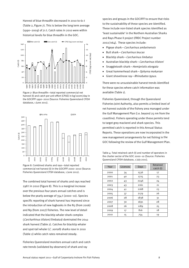Harvest of blue threadfin decreased in 2010 to 61 t (Table 2, Figure 7). This is below the long term average (1990–2009) of 71 t. Catch rates in 2010 were within historical levels for blue threadfin in the GOC.



Figure 7: Blue threadfin-total reported commercial net harvest (t) and catch per unit effort (CPUE) in kg/100m/day in the GOCIFFF 1990-2010 (Source: Fisheries Queensland CFISH database, 1 June 2011).



Figure 8: Combined sharks and rays—total reported commercial net harvest (t) in the GOCIFFF 2000–2010 (Source: Fisheries Queensland CFISH database, 1 June 2011).

The combined total harvest of sharks and rays reached 298 t in 2010 (Figure 8). This is a marginal increase over the previous four years annual catches and is below the yearly average of 354 t (2000–10). Species specific reporting of shark harvest has improved since the introduction of new logbooks in the N3 (from 2006) and N9 (from 2007) fisheries. The new level of detail indicated that the blacktip whaler shark complex (Carcharhinus tilstoni/limbatus) dominated the 2010 shark harvest (Table 2). Catches for blacktip whaler and spot-tail whaler (C. sorrah) sharks rose in 2010 (Table 2) while catch rates remained steady.

Fisheries Queensland monitors annual catch and catch rate trends (validated by observers) of shark and ray

species and groups in the GOCIFFF to ensure that risks to the sustainability of these species are identified. These include non-listed shark species identified as 'least sustainable' in the Northern Australian Sharks and Rays Phase II project (FRDC Project number 2002/064). These species include:

- Pigeye shark—Carcharinus amboinensis
- Bull shark—Carcharinus leucas
- Blacktip shark—Carcharinus limbatus
- Australian blacktip shark-Carcharinus tilstoni
- Snaggletooth shark-Hemipristis elongata
- Great hammerhead shark—Sphyrna mokarran
- Giant shovelnose ray—*Rhinobatos typus.*

 available (Table 1). for these species where catch information was There were no unsustainable harvest trends identified

GOC following the review of the Gulf Management Plan. Fisheries Queensland, through the Queensland Fisheries Joint Authority, also permits a limited level of net harvest outside of the fishery area managed under the Gulf Management Plan (i.e. beyond 25 nm from the coastline). Fishers operating under these permits tend to target grey mackerel and shark species. This permitted catch is reported in this Annual Status Reports. These operations are now incorporated in the new management arrangements for net fishing in the

Table 4: Total retained catch (t) and number of operators in the charter sector of the GOC 2000–10 (Source: Fisheries Queensland CFISH database, 1 July 2011).

| Year | Licences | Days | Retained<br>catch (t) |
|------|----------|------|-----------------------|
| 2000 | 34       | 1536 | 17                    |
| 2001 | 40       | 1725 | 23                    |
| 2002 | 43       | 2246 | 24                    |
| 2003 | 43       | 2161 | 21                    |
| 2004 | 41       | 2168 | 23                    |
| 2005 | 37       | 2179 | 26                    |
| 2006 | 28       | 1838 | 31                    |
| 2007 | 30       | 1691 | 28                    |
| 2008 | 26       | 1189 | 25                    |
| 2009 | 17       | 816  | 18                    |
| 2010 | 15       | 754  | 19                    |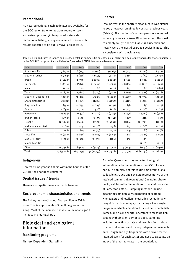### Recreational **Recreational**

the GOC region (refer to the 2006 report for catch<br>(Table 4). The number of charter operators decreased) estimates up to 2005). An updated state-wide<br>to only 15 licences in 2010. Blue threadfin is the most to only 15 licences in 2010. Blue threading survey commenced in 2010 with<br>commonly caught species (Table 5). Queenfish and results expected to be publicly available in 2012.

No new recreational catch estimates are available for<br>to 2009 however remained lower than previous years<br>to 2009 however remained lower than previous years trevally were the most discarded species in 2010. This is consistent with previous years.

Group 2004 2005 2006 2007 2008 2009 2010 Blue threadfin 7 (739) 8 (747) 12 (1021) 9 (165) 11 (923) 8 (106) 8 (517) Mackerel–school <1 (303) 1 (610) 3 (946) 3 (1538) 2 (45) 2 (79) 4 (337) Bream 2 (1449) 2 (796) 2 (696) 2 (661) 2 (622) 1 (184) 2 (226) Queenfish 2 (8010) 3 (6876) 2 (6907) 2 (5664) 2 (3849) 1 (1881) <1 (1904) Mullet  $\left\{\n\begin{array}{ccc|c}\n\sqrt{1+1} & \sqrt{1+1} & \sqrt{1+1} \\
\sqrt{1+1} & \sqrt{1+1} & \sqrt{1+1} & \sqrt{1+1} \\
\sqrt{1+1} & \sqrt{1+1} & \sqrt{1+1} & \sqrt{1+1} \\
\sqrt{1+1} & \sqrt{1+1} & \sqrt{1+1} & \sqrt{1+1} & \sqrt{1+1} \\
\sqrt{1+1} & \sqrt{1+1} & \sqrt{1+1} & \sqrt{1+1} & \sqrt{1+1} \\
\sqrt{1+1} & \sqrt{1+1} & \sqrt{1+1} & \sqrt{1+1$ Tuna 2 (2698) 2 (3644) 2 (2307) 2 (3142) 1 (2049) 1 (1574) <1 (1426) Mackerel–unspecified <1 (618) <1 (272) <1 (239) <1 (828) <1 (1017) <1 (772) <1 (810) Shark–unspecified 1 (1181) 2 (1085) 1 (1486) <1 (1035) <1 (1125) 1 (911) <1 (1023) King threadfin  $(1 \t359)$   $(1 \t335)$   $(1 \t335)$   $(1 \t35)$   $(1 \t35)$   $(1 \t34)$   $(1 \t38)$   $(1 \t33)$   $(1 \t34)$   $(1 \t35)$ Grunter 2 (693) 2 (706) 2 (538) <1 (416) <1 (207) <1 (58) <1 (15) Barramundi 2 (9899) 1 (6393) 2 (4121) 1 (5033) <1 (2390) <1 (990) <1 (998) Jewfish–black <1 (39) <1 (98) <1 (35) <1 (141) <1 (67) <1 (17) <1 (5) Trevally <1 (5949) 1 (6466) <1 (4327) <1 (4091) <1 (2884) <1 (1791) <1 (1910) Jewfish–unspecified <1 (11) <1 (15) <1 (78) <1 (38) <1 (73) <1 (16) <1 (15) Cobia <1 (46) <1 (70) <1 (79) <1 (39) <1 (19) <1 (6) <1 (6)

Threadfin <1 (340) <1 (260) <1 (166) <1 (1359) <1 (52) <1 (285) <1 (152)

Shark–blacktip – – – – – – – – (1(26) <1(-) Other (1 (3348) (1 (2940) 4 (3005) 4 (2949) 3 (2119) 2 (1440) (1297) Total 23 (35966) 26 (31759) 31 (26357) 28 (27306) 25 (17576) 18 (10142) 19 (10827)

Mackerel–grey  $(1 \t3)$   $(284)$   $(1546)$   $(1251)$   $(1166)$   $(166)$   $(160)$   $(160)$ 

Table 5: Retained catch in tonnes and released catch in numbers (in parenthesis) of target and by-product species for charter operators in the GOCIFFF 2004–10 (Source: Fisheries Queensland CFISH database, 6 December 2011).

#### Indigenous

Harvest by Indigenous fishers within the bounds of the GOCIFFF has not been estimated.

#### Spatial issues / trends

There are no spatial issues or trends to report.

#### Socio-economic characteristics and trends

The fishery was worth about \$15.3 million in GVP in 2010. This is approximately \$2 million greater than 2009. Most of the increase was due to the nearly 400 t increase in grey mackerel.

#### Biological and ecological information

#### Monitoring programs

Fishery Dependent Sampling

Fisheries Queensland has collected biological information on barramundi from the GOCIFFF since 2000. The objective of this routine monitoring is to collect length, age and sex data representative of the retained commercial, recreational (including charter boats) catches of barramundi from the south-east Gulf of Carpentaria stock. Sampling methods include measuring commercially caught fish at seafood wholesalers and retailers, measuring recreationally caught fish at boat ramps, conducting a keen angler program, in which recreational fishers can donate fish frames, and asking charter operators to measure fish caught by their clients. Prior to 2006, sampling included collection of data and samples from onboard commercial vessels and fishery independent research data. Length and age frequencies are derived for the retained catch for each sector and used to calculate an index of the mortality rate in the population.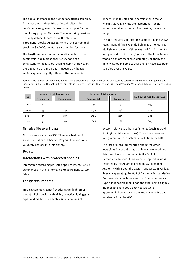The annual increase in the number of catches sampled, fish measured and otoliths collected reflects the continued strong level of stakeholder support for the monitoring program (Table 6). The monitoring provides a quality dataset for assessing the status of barramundi stocks. An assessment of the barramundi stocks in Gulf of Carpentaria is scheduled for 2012.

The length frequency of barramundi sampled in the commercial and recreational fishery has been consistent for the last four years (Figure 11). However, the size range of barramundi harvested by the two sectors appears slightly different. The commercial

fishery tends to catch more barramundi in the 65– 75 mm size range while the recreational fishery harvests smaller barramundi in the 60–70 mm size range.

The age frequency of the same samples clearly shows recruitment of three year old fish in 2007 to four year old fish in 2008 and of three year old fish in 2009 to four year old fish in 2010 (Figure 12). The three to four year old fish are most predominately caught by the fishery although some 17 year old fish have also been sampled over the years.

Table 6: The number of representative catches sampled, barramundi measured and otoliths collected during Fisheries Queensland monitoring in the south-east Gulf of Carpentaria (Source: Fisheries Queensland Fisheries Resource Monitoring database, extract 14 May 2011).

|      |            | Number of catches sampled | Number of fish measured |              |                              |
|------|------------|---------------------------|-------------------------|--------------|------------------------------|
| Year | Commercial | Recreational              | Commercial              | Recreational | Number of otoliths collected |
| 2007 | 42         | 74                        | 785                     | 145          | 435                          |
| 2008 | 55         | 142                       | 1479                    | 258          | 723                          |
| 2009 | 43         | 109                       | 1324                    | 205          | 801                          |
| 2010 | 50         | 107                       | 1688                    | 288          | 869                          |

Fisheries Observer Program

No observations in the GOCIFFF were scheduled for 2010. The Fisheries Observer Program functions on a voluntary basis within this fishery.

#### Bycatch

#### Interactions with protected species

Information regarding protected species interactions is summarised in the Performance Measurement System table.

#### Ecosystem impacts

Tropical commercial net fisheries target high-order predator fish species with highly selective fishing gear types and methods, and catch small amounts of

bycatch relative to other net fisheries (such as trawl fishing) (Halliday et al. 2001). There have been no newly identified ecosystem impacts from the GOCIFFF.

 Type 3 Indonesian shark boat, the other being a Type 4 The rate of Illegal, Unreported and Unregulated incursions in Australia has declined since 2006 and this trend has also continued in the Gulf of Carpentaria. In 2010, there were two apprehensions recorded by the Australian Fisheries Management Authority within both the eastern and western vertical lines encapsulating the Gulf of Carpentaria boundaries. Both vessels came from Merauke. One vessel was a Indonesian shark boat. Both vessels were apprehended very close to the 200 nm mile line and not deep within the GOC.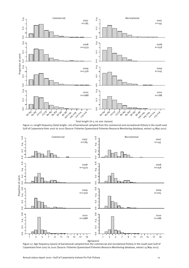

Total length (in 5 cm size classes)

Figure 11: Length frequency (total length, cm) of barramundi sampled from the commercial and recreational fishery in the south-east Gulf of Carpentaria from 2007 to 2010 (Source: Fisheries Queensland Fisheries Resource Monitoring database, extract 14 May 2011).



Figure 12: Age frequency (years) of barramundi sampled from the commercial and recreational fishery in the south-east Gulf of Carpentaria from 2007 to 2010 (Source: Fisheries Queensland Fisheries Resource Monitoring database, extract 14 May 2011).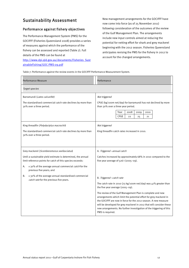#### Sustainability Assessment

#### Performance against fishery objectives

ainableFishing/GOC-PMS-09.pdf The Performance Management System (PMS) for the GOCIFFF (Fisheries Queensland 2008) provides a series of measures against which the performance of the fishery can be assessed and reported (Table 7). Full details of the PMS can be found at [http://www.dpi.qld.gov.au/documents/Fisheries\\_Sust](http://www.dpi.qld.gov.au/documents/Fisheries_SustainableFishing/GOC-PMS-09.pdf)

**Sustainability Assessment**<br> **Performance against fishery objectives**<br>
The Performance Management System (PMS) for the<br>
The Performance Management System (PMS) for the<br>
GOCIFFF (Fisheries Queensland 2008) provides a series now come into force (as of 25 November 2011) following consideration of the outcomes of the review of the Gulf Management Plan. The arrangements include new input controls aimed at reducing the potential for netting effort for shark and grey mackerel beginning with the 2012 season. Fisheries Queensland anticipates revising the PMS for the fishery in 2012 to account for the changed arrangements.

Table 7: Performance against the review events in the GOCIFFF Performance Measurement System.

| <b>Performance Measure</b>                                                                                                                                                                                                                                               | Performance                                                                                                                                                                                                                                                                                                                                                                                                                                                                                                   |
|--------------------------------------------------------------------------------------------------------------------------------------------------------------------------------------------------------------------------------------------------------------------------|---------------------------------------------------------------------------------------------------------------------------------------------------------------------------------------------------------------------------------------------------------------------------------------------------------------------------------------------------------------------------------------------------------------------------------------------------------------------------------------------------------------|
| Target species                                                                                                                                                                                                                                                           |                                                                                                                                                                                                                                                                                                                                                                                                                                                                                                               |
| Barramundi (Lates calcarifer)<br>The standardised commercial catch rate declines by more than<br>30% over a three period.                                                                                                                                                | Not triggered<br>CPUE (kg/100m net/day) for barramundi has not declined by more<br>than 30% over a three year period.<br>Year<br>2008<br>2009<br>2010<br><b>CPUE</b><br>22<br>25<br>21                                                                                                                                                                                                                                                                                                                        |
| King threadfin (Polydactylus macrochii)<br>The standardised commercial catch rate declines by more than<br>30% over a three period.                                                                                                                                      | Not triggered<br>King threadfin catch rates increased in 2010.                                                                                                                                                                                                                                                                                                                                                                                                                                                |
| Grey mackerel (Scomberomorus sexfasciatus)<br>Until a sustainable yield estimate is determined, the annual<br>limit reference points for catch of this species exceeds:<br>± 30% of the average annual commercial <i>catch</i> for the<br>Α.<br>previous five years; and | A. Triggered-annual catch<br>Catches increased by approximately 68% in 2010 compared to the<br>five year average of $526$ t ( $2005-09$ ).                                                                                                                                                                                                                                                                                                                                                                    |
| ± 30% of the average annual standardised commercial<br>В.<br>catch rate for the previous five years.                                                                                                                                                                     | B. Triggered-catch rate<br>The catch rate in 2010 (73 kg/100m net/day) was $41\%$ greater than<br>the five year average (2005-09).<br>The review of the Gulf Management Plan is complete and new<br>arrangements which limit the potential effort for grey mackerel in<br>the GOCIFFF are now in force for the 2012 season. A new measure<br>will be developed for grey mackerel in 2012 that will consider these<br>new arrangements. No further investigation of the triggering of this<br>PMS is required. |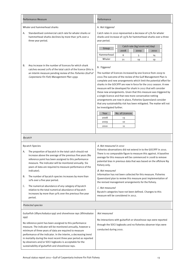|    | Performance Measure                                                                                                                                                                                                                          | Performance                                                                                                                                                                                                                                                                                                                                                                                                                                                                                                                                                                                                                                                                               |      |                              |      |  |
|----|----------------------------------------------------------------------------------------------------------------------------------------------------------------------------------------------------------------------------------------------|-------------------------------------------------------------------------------------------------------------------------------------------------------------------------------------------------------------------------------------------------------------------------------------------------------------------------------------------------------------------------------------------------------------------------------------------------------------------------------------------------------------------------------------------------------------------------------------------------------------------------------------------------------------------------------------------|------|------------------------------|------|--|
|    | Whaler and hammerhead sharks                                                                                                                                                                                                                 | A. Not triggered                                                                                                                                                                                                                                                                                                                                                                                                                                                                                                                                                                                                                                                                          |      |                              |      |  |
| А. | Standardised commercial catch rate for whaler sharks or<br>hammerhead sharks declines by more than 30% over a<br>three year period.                                                                                                          | Catch rates in 2010 represented a decrease of 13% for whaler<br>sharks and increase of 135% for hammerhead sharks over a three<br>year period.                                                                                                                                                                                                                                                                                                                                                                                                                                                                                                                                            |      |                              |      |  |
|    |                                                                                                                                                                                                                                              | Group                                                                                                                                                                                                                                                                                                                                                                                                                                                                                                                                                                                                                                                                                     |      | Catch rate (kg/100m net/day) |      |  |
|    |                                                                                                                                                                                                                                              |                                                                                                                                                                                                                                                                                                                                                                                                                                                                                                                                                                                                                                                                                           | 2008 | 2009                         | 2010 |  |
|    |                                                                                                                                                                                                                                              | Hammerhead                                                                                                                                                                                                                                                                                                                                                                                                                                                                                                                                                                                                                                                                                | 6    | 5                            | 14   |  |
|    |                                                                                                                                                                                                                                              | Whaler                                                                                                                                                                                                                                                                                                                                                                                                                                                                                                                                                                                                                                                                                    | 21   | 19                           | 19   |  |
| В. | Any increase in the number of licences for which shark<br>catches exceed 20% of the total catch of the licence (this is<br>an interim measure pending review of the <i>Fisheries (Gulf of</i><br>Carpentaria Fin Fish) Management Plan 1999. | B. Triggered<br>The number of licences increased by one licence from 2009 to<br>2010. The outcome of the review of the Gulf Management Plan is<br>complete and new arrangements which limit the potential effort for<br>sharks in the GOCIFFF are now in force for the 2012 season. A new<br>measure will be developed for shark in 2012 that will consider<br>these new arrangements. Given that this measure was triggered by<br>a single licence and that new more conservative netting<br>arrangements are now in place, Fisheries Queensland consider<br>that any sustainability risk has been mitigated. The matter will not<br>be investigated further.<br>No. of Licences<br>Year |      |                              |      |  |
|    |                                                                                                                                                                                                                                              | 2008                                                                                                                                                                                                                                                                                                                                                                                                                                                                                                                                                                                                                                                                                      | 13   |                              |      |  |
|    |                                                                                                                                                                                                                                              | 2009                                                                                                                                                                                                                                                                                                                                                                                                                                                                                                                                                                                                                                                                                      | 10   |                              |      |  |
|    |                                                                                                                                                                                                                                              | 2010                                                                                                                                                                                                                                                                                                                                                                                                                                                                                                                                                                                                                                                                                      | 11   |                              |      |  |
|    |                                                                                                                                                                                                                                              |                                                                                                                                                                                                                                                                                                                                                                                                                                                                                                                                                                                                                                                                                           |      |                              |      |  |

#### Bycatch Species **A.** Not measured in 2010

| A.<br>В.<br>C. | The proportion of bycatch in the total catch should not<br>increase above the average of the previous five years (No<br>reference point has been assigned to this performance<br>measure. The indicator will be monitored annually. Six<br>years of data are required to measure performance of the<br>indicator).<br>The number of bycatch species increases by more than<br>10% over a five year period.<br>The numerical abundance of any category of bycatch<br>relative to the total numerical abundance of bycatch<br>increases by more than 50% over the previous five year<br>period. | Fisheries observations did not extend in to the GOCIFFF in 2010.<br>There is no comparable figure to measure this against. A baseline<br>average for this measure will be commenced in 2008 to remove<br>potential bias in previous data that was based on the offshore N9<br>fishery only.<br><b>B.</b> Not measured<br>Information has not been collected for this measure. Fisheries<br>Queensland plan to review this measure post implementation of<br>the revised management arrangements for the fishery.<br>C. Not measured<br>Bycatch categories have not been defined. Changes to this<br>measure will be considered in 2012. |
|----------------|-----------------------------------------------------------------------------------------------------------------------------------------------------------------------------------------------------------------------------------------------------------------------------------------------------------------------------------------------------------------------------------------------------------------------------------------------------------------------------------------------------------------------------------------------------------------------------------------------|-----------------------------------------------------------------------------------------------------------------------------------------------------------------------------------------------------------------------------------------------------------------------------------------------------------------------------------------------------------------------------------------------------------------------------------------------------------------------------------------------------------------------------------------------------------------------------------------------------------------------------------------|
|                | Protected species                                                                                                                                                                                                                                                                                                                                                                                                                                                                                                                                                                             |                                                                                                                                                                                                                                                                                                                                                                                                                                                                                                                                                                                                                                         |
| spp)           | Guitarfish (Rhynchobatus spp) and shovelnose rays (Rhinobatos<br>No reference point has been assigned to this performance<br>measure. The indicator will be monitored annually, however a<br>minimum of three years of data are required to measure                                                                                                                                                                                                                                                                                                                                           | Not measured<br>No interactions with guitarfish or shovelnose rays were reported<br>through the SOCI logbooks and no fisheries observer trips were<br>conducted during 2010.                                                                                                                                                                                                                                                                                                                                                                                                                                                            |

in mortality during the most recent three year period as reported by observers and/or SOCI logbooks is acceptable for the sustainability of guitarfish and shovelnose rays.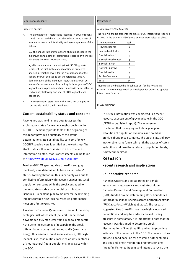|    | Performance Measure                                                                                                                                                                                                                                                                                                                                                                                                                                                                                                                                                                                                                                                                                                                                                                                                                                       | Performance                                                                                                                                                                                                    |                                                                               |                                                                                                                                                                                                                                                                             |
|----|-----------------------------------------------------------------------------------------------------------------------------------------------------------------------------------------------------------------------------------------------------------------------------------------------------------------------------------------------------------------------------------------------------------------------------------------------------------------------------------------------------------------------------------------------------------------------------------------------------------------------------------------------------------------------------------------------------------------------------------------------------------------------------------------------------------------------------------------------------------|----------------------------------------------------------------------------------------------------------------------------------------------------------------------------------------------------------------|-------------------------------------------------------------------------------|-----------------------------------------------------------------------------------------------------------------------------------------------------------------------------------------------------------------------------------------------------------------------------|
| А. | Protected species<br>The annual rate of interactions recorded in SOCI logbooks<br>should not exceed the historical maximum annual rate of<br>interactions recorded for the N <sub>3</sub> and N <sub>9</sub> components of the<br>fishery:<br>No-the annual rate of interactions should not exceed the<br>maximum annual rate of interactions recorded by fisheries<br>observers between 2000 and 2005.<br>N <sub>3</sub> -Maximum annual rate not yet set. SOCI logbooks<br>represent the first systematic recording of protected<br>species interaction levels for the N <sub>3</sub> component of the<br>fishery and will be used to set the reference limit. A<br>determination of the maximum interaction rate will be<br>made after assessment of variability in three years of SOCI<br>logbook data. A preliminary benchmark will be set after the | A. Not triggered for No or N3<br>Common name<br>Hawksbill turtle<br>Leatherback turtle<br>Sawfish-dwarf<br>Sawfish-freshwater<br>Sawfish-green<br>Sawfish-narrow<br>Sawfish-wide<br>Turtle-freshwater<br>Total | Total<br>4<br>3<br>5<br>3<br>$\overline{2}$<br>$\overline{2}$<br>3<br>4<br>15 | The following table presents the type of SOCI interactions reported<br>in 2010 in the GOCIFFF. All of these animals were released alive.<br>These totals are below the thresholds set for the N9 and N3<br>fisheries. A new measure will be developed for protected species |
| B. | end of 2007 following one year of SOCI logbook data<br>collection.<br>The conservation status under the EPBC Act changes for<br>species with which the fishery interacts.                                                                                                                                                                                                                                                                                                                                                                                                                                                                                                                                                                                                                                                                                 | interactions in 2012.<br>B. Not triggered                                                                                                                                                                      |                                                                               |                                                                                                                                                                                                                                                                             |

#### Current sustainability status and concerns

at http://www.dpi.gld.gov.au/28\_16916.htm A workshop was held in June 2011 to assess the exploitation status for key net caught species in the GOCIFFF. The fishery profile table at the beginning of this report provides a summary of the status determinations. No sustainability concerns for key GOCIFFF species were identified at the workshop. The stock status will be reassessed in 2012. The latest information on stock status assessments can be found

Two key GOCIFFF species, king threadfin and grey mackerel, were determined to have an 'uncertain' status. For king threadfin, this uncertainty was due to conflicting information with research suggesting local population concerns while the stock continued to demonstrate a stable commercial catch history. Fisheries Queensland plan to monitor for local fishing impacts through new regionally scaled performance measures for the GOCIFFF.

A review by Fisheries Queensland in 2010 of the 2004 ecological risk assessment (Zeller & Snape 2006) downgraded grey mackerel from a high to a moderate risk due to the outcomes of research on the stock differentiation across northern Australia (Welch et al. 2009). This research found some evidence, although inconclusive, that multiple localised adult sub-stocks of grey mackerel (meta-populations) may exist within the GOC.

 mackerel remains 'uncertain' until the causes of catch This stock information was considered in a recent resource assessment of grey mackerel in the GOC (DEEDI unpublished report). The assessment concluded that fishery logbook data gave poor resolution of population dynamics and could not provide abundance estimates. The stock status of grey variability, and how these relate to population levels, is better understood.

## Research

#### Recent research and implications

#### Collaborative research

Fisheries Queensland collaborated on a multijurisdiction, multi-agency and multi-technique Fisheries Research and Development Corporation (FRDC) funded project determining stock boundaries for threadfin salmon species across northern Australia (FRDC 2007/032) (Welch et al. 2010). The research suggested king threadfin may have highly localised populations and may be under increased fishing pressure in some areas. It is important to note that the research was designed to determine stock discrimination of king threadfin and not to provide an estimate of the resource in the GOC. The research does provide a good baseline for designing further studies and age and length monitoring programs for king threadfin. Fisheries Queensland intends to revise the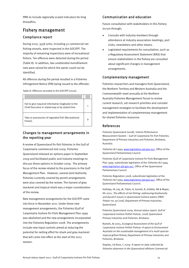PMS to include regionally scaled indicators for king threadfins.

#### Fishery management

#### Compliance report

During 2010, 3558 units, including 52 commercial net fishing vessels, were inspected in the GOCIFFF. The majority of remaining inspections were of recreational fishers. Ten offences were detected during the period (Table 8). In addition, two unattended monofilament nets were seized for which the owner could not be identified.

All offences during the period resulted in a Fisheries Infringement Notice (FIN) being issued to the offender.

Table 8: Offences recorded in the GOCIFFF (2010).

| Fail to give required information (logbook) to the<br>Chief Executive in stated way or by stated time |  |
|-------------------------------------------------------------------------------------------------------|--|
| Take or possession of regulated fish (Recreational<br>Fisher).                                        |  |

#### Changes to management arrangements in the reporting year

A review of Queensland fin fish fisheries in the Gulf of Carpentaria commenced mid 2009. Fisheries Queensland released an options paper in September 2009 and facilitated public and industry meetings to discuss these options in October 2009. The primary focus of the review related to the provisions in the Gulf Management Plan. However, several Joint Authority fisheries currently covered by permit arrangements were also covered by the review. The harvest of grey mackerel and tropical shark was a major consideration of the review.

New management arrangements for the GOCIFFF came into force in November 2011. Under these new management arrangements, the Fisheries (Gulf of Carpentaria Inshore Fin Fish) Management Plan 1999 was abolished and the new arrangements incorporated into the Fisheries Regulation 2008. The arrangements include new input controls aimed at reducing the potential for netting effort for shark and grey mackerel that will come into effect at the start of the 2012 season.

#### Communication and education

Future consultation with stakeholders in this fishery occurs through;

- Consults with industry members through attendance at industry association meetings, port visits, newsletters and other means.
- Legislated requirements for consultation; such as a Regulatory Assessment Statement (RAS) that ensure stakeholders in the fishery are consulted about significant changes in management arrangements.

#### Complementary management

Fisheries researchers and managers from Queensland, the Northern Territory and Western Australia and the Commonwealth meet annually at the Northern Australia Fisheries Management Forum to review current research, set research priorities and consider management strategies to facilitate the development and implementation of complementary management for shared fisheries resources.

#### References

Fisheries Queensland (2008). Interim Performance Measurement System – Gulf of Carpentaria Fin Fish Fisheries. Department of Primary Industries and Fisheries, Brisbane, Australia.

Fisheries Act 1994, [www.legislation.qld.gov.au/,](http://www.legislation.qld.gov.au/) Office of the Queensland Parliamentary Council.

Fisheries (Gulf of Carpentaria Inshore Fin Fish) Management Plan 1999, subordinate legislation of the *Fisheries Act 1994*, [www.legislation.qld.gov.au/,](http://www.legislation.qld.gov.au/) Office of the Queensland Parliamentary Council.

Fisheries Regulation 2008, subordinate legislation of the Fisheries Act 1994, [www.legislation.qld.gov.au/,](http://www.legislation.qld.gov.au/) Office of the Queensland Parliamentary Council.

Halliday, IA, Ley, JA, Tobin, A, Garrett, R, Gribble, NA & Mayer, DG 2001, The effects of net fishing: addressing biodiversity and bycatch issues in Queensland inshore waters (FRDC Project no. 97/206), Department of Primary Industries, Queensland.

Fisheries Queensland 2009, Annual status report. Gulf of Carpentaria Inshore Finfish Fishery. 2008, Queensland Primary Industries and Fisheries, Brisbane.

Roelofs, AJ 2003, Ecological Assessment of the Gulf of Carpentaria Inshore Finfish Fishery–A report to Environment Australia on the sustainable management of a multi-species tropical gillnet fishery, Department of Primary Industries and Fisheries, Brisbane.

Stapley, J & Rose, C 2009, A report on data collected by fisheries observers in the Queensland offshore Commercial